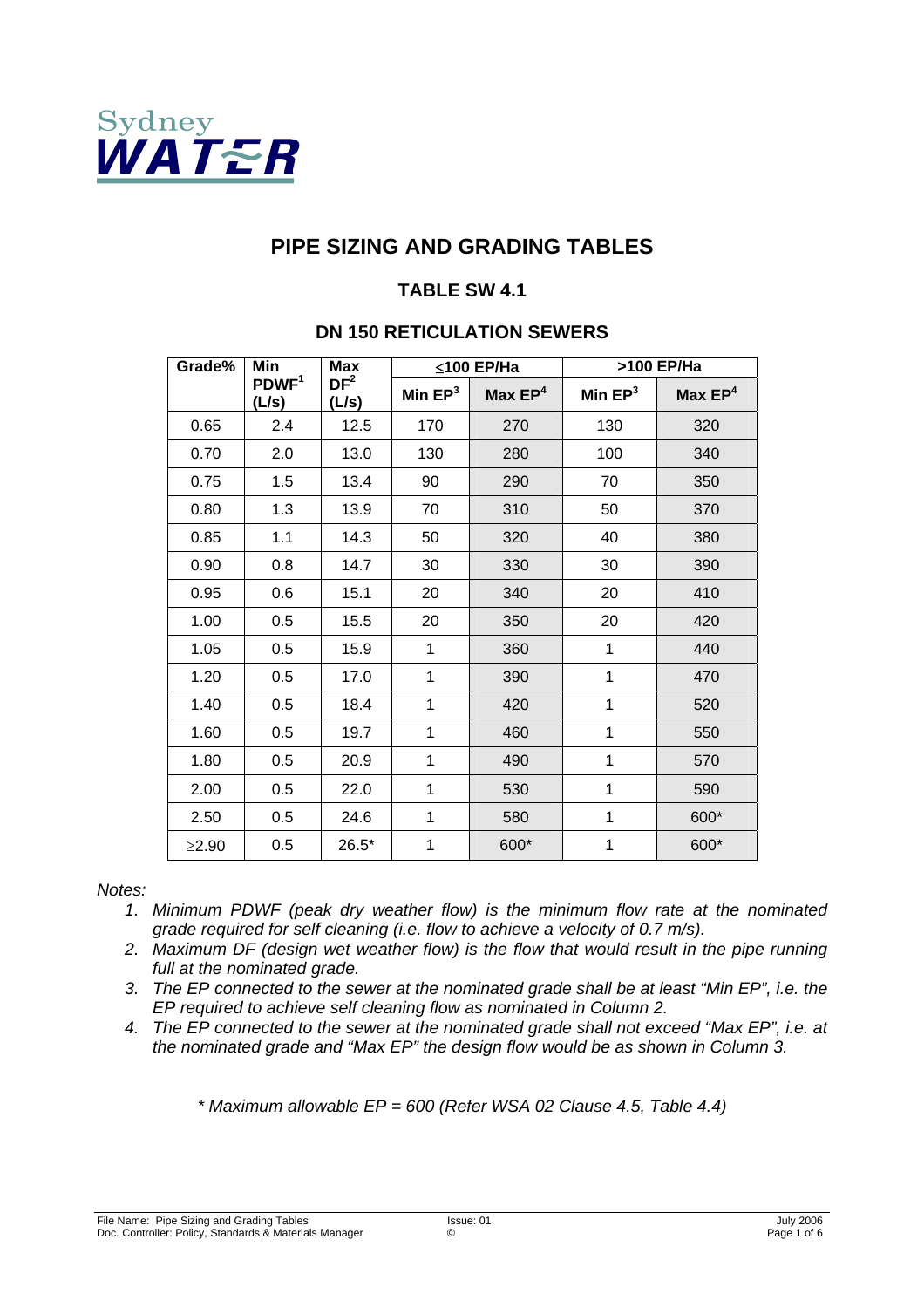

# **PIPE SIZING AND GRADING TABLES**

### **TABLE SW 4.1**

# **DN 150 RETICULATION SEWERS**

| Grade%      | Min                        | <b>Max</b>               |           | ≤100 EP/Ha | >100 EP/Ha |           |  |
|-------------|----------------------------|--------------------------|-----------|------------|------------|-----------|--|
|             | PDWF <sup>1</sup><br>(L/s) | DF <sup>2</sup><br>(L/s) | Min $EP3$ | Max $EP4$  | Min $EP3$  | Max $EP4$ |  |
| 0.65        | 2.4                        | 12.5                     | 170       | 270        | 130        | 320       |  |
| 0.70        | 2.0                        | 13.0                     | 130       | 280        | 100        | 340       |  |
| 0.75        | 1.5                        | 13.4                     | 90        | 290        | 70         | 350       |  |
| 0.80        | 1.3                        | 13.9                     | 70        | 310        | 50         | 370       |  |
| 0.85        | 1.1                        | 14.3                     | 50        | 320        | 40         | 380       |  |
| 0.90        | 0.8                        | 14.7                     | 30        | 330        | 30         | 390       |  |
| 0.95        | 0.6                        | 15.1                     | 20        | 340        | 20         | 410       |  |
| 1.00        | 0.5                        | 15.5                     | 20        | 350        | 20         | 420       |  |
| 1.05        | 0.5                        | 15.9                     | 1         | 360        | 1          | 440       |  |
| 1.20        | 0.5                        | 17.0                     | 1         | 390        | 1          | 470       |  |
| 1.40        | 0.5                        | 18.4                     | 1         | 420        | 1          | 520       |  |
| 1.60        | 0.5                        | 19.7                     | 1         | 460        | 1          | 550       |  |
| 1.80        | 0.5                        | 20.9                     | 1         | 490        | 1          | 570       |  |
| 2.00        | 0.5                        | 22.0                     | 1         | 530        | 1          | 590       |  |
| 2.50        | 0.5                        | 24.6                     | 1         | 580        | 1          | 600*      |  |
| $\geq$ 2.90 | 0.5                        | $26.5*$                  | 1         | 600*       | 1          | 600*      |  |

*Notes:* 

- *1. Minimum PDWF (peak dry weather flow) is the minimum flow rate at the nominated grade required for self cleaning (i.e. flow to achieve a velocity of 0.7 m/s).*
- *2. Maximum DF (design wet weather flow) is the flow that would result in the pipe running full at the nominated grade.*
- *3. The EP connected to the sewer at the nominated grade shall be at least "Min EP", i.e. the EP required to achieve self cleaning flow as nominated in Column 2.*
- *4. The EP connected to the sewer at the nominated grade shall not exceed "Max EP", i.e. at the nominated grade and "Max EP" the design flow would be as shown in Column 3.*

*\* Maximum allowable EP = 600 (Refer WSA 02 Clause 4.5, Table 4.4)*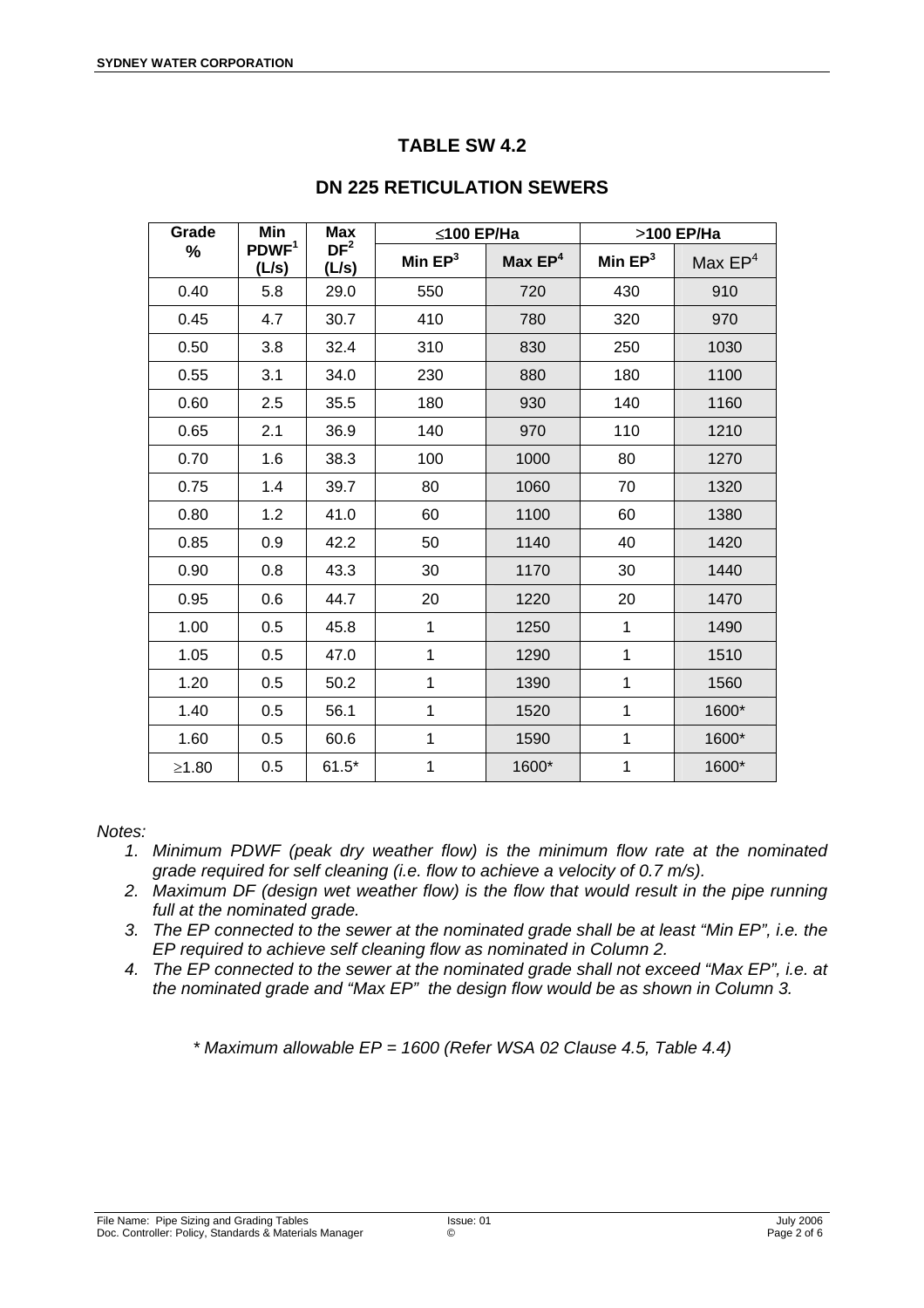| Grade | <b>Min</b>                 | <b>Max</b>               | ≤100 EP/Ha |           | >100 EP/Ha   |           |  |
|-------|----------------------------|--------------------------|------------|-----------|--------------|-----------|--|
| %     | PDWF <sup>1</sup><br>(L/s) | DF <sup>2</sup><br>(L/s) | Min $EP3$  | Max $EP4$ | Min $EP3$    | Max $EP4$ |  |
| 0.40  | 5.8                        | 29.0                     | 550        | 720       | 430          | 910       |  |
| 0.45  | 4.7                        | 30.7                     | 410        | 780       | 320          | 970       |  |
| 0.50  | 3.8                        | 32.4                     | 310        | 830       | 250          | 1030      |  |
| 0.55  | 3.1                        | 34.0                     | 230        | 880       | 180          | 1100      |  |
| 0.60  | 2.5                        | 35.5                     | 180        | 930       | 140          | 1160      |  |
| 0.65  | 2.1                        | 36.9                     | 140        | 970       | 110          | 1210      |  |
| 0.70  | 1.6                        | 38.3                     | 100        | 1000      | 80           | 1270      |  |
| 0.75  | 1.4                        | 39.7                     | 80         | 1060      | 70           | 1320      |  |
| 0.80  | 1.2                        | 41.0                     | 60         | 1100      | 60           | 1380      |  |
| 0.85  | 0.9                        | 42.2                     | 50         | 1140      | 40           | 1420      |  |
| 0.90  | 0.8                        | 43.3                     | 30         | 1170      | 30           | 1440      |  |
| 0.95  | 0.6                        | 44.7                     | 20         | 1220      | 20           | 1470      |  |
| 1.00  | 0.5                        | 45.8                     | 1          | 1250      | $\mathbf{1}$ | 1490      |  |
| 1.05  | 0.5                        | 47.0                     | 1          | 1290      | $\mathbf 1$  | 1510      |  |
| 1.20  | 0.5                        | 50.2                     | 1          | 1390      | $\mathbf 1$  | 1560      |  |
| 1.40  | 0.5                        | 56.1                     | 1          | 1520      | $\mathbf 1$  | 1600*     |  |
| 1.60  | 0.5                        | 60.6                     | 1          | 1590      | $\mathbf{1}$ | 1600*     |  |
| ≥1.80 | 0.5                        | $61.5*$                  | 1          | 1600*     | $\mathbf 1$  | 1600*     |  |

# **DN 225 RETICULATION SEWERS**

#### *Notes:*

- *1. Minimum PDWF (peak dry weather flow) is the minimum flow rate at the nominated grade required for self cleaning (i.e. flow to achieve a velocity of 0.7 m/s).*
- *2. Maximum DF (design wet weather flow) is the flow that would result in the pipe running full at the nominated grade.*
- *3. The EP connected to the sewer at the nominated grade shall be at least "Min EP", i.e. the EP required to achieve self cleaning flow as nominated in Column 2.*
- *4. The EP connected to the sewer at the nominated grade shall not exceed "Max EP", i.e. at the nominated grade and "Max EP" the design flow would be as shown in Column 3.*

*\* Maximum allowable EP = 1600 (Refer WSA 02 Clause 4.5, Table 4.4)*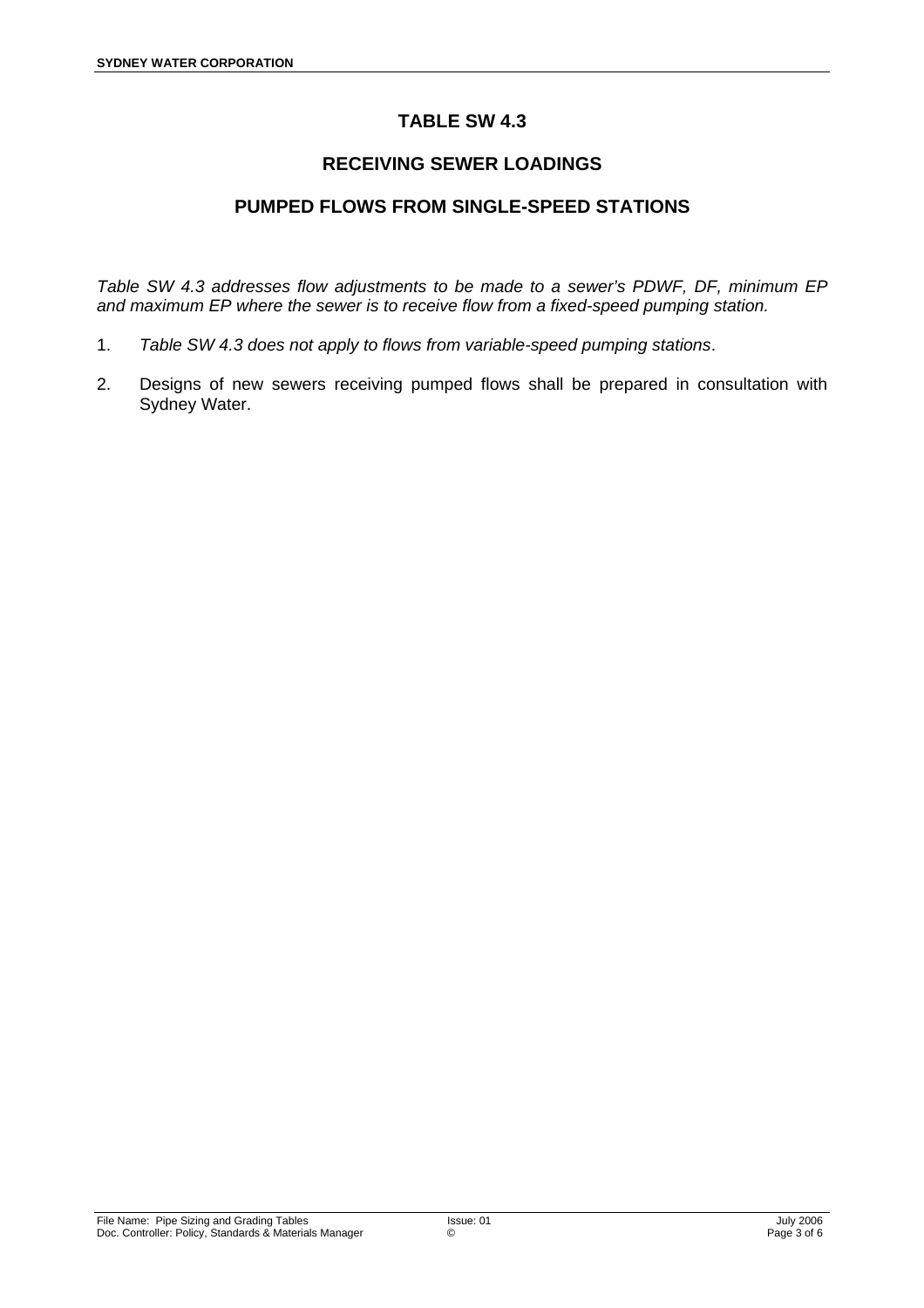## **RECEIVING SEWER LOADINGS**

#### **PUMPED FLOWS FROM SINGLE-SPEED STATIONS**

*Table SW 4.3 addresses flow adjustments to be made to a sewer's PDWF, DF, minimum EP and maximum EP where the sewer is to receive flow from a fixed-speed pumping station.* 

- 1. *Table SW 4.3 does not apply to flows from variable-speed pumping stations*.
- 2. Designs of new sewers receiving pumped flows shall be prepared in consultation with Sydney Water.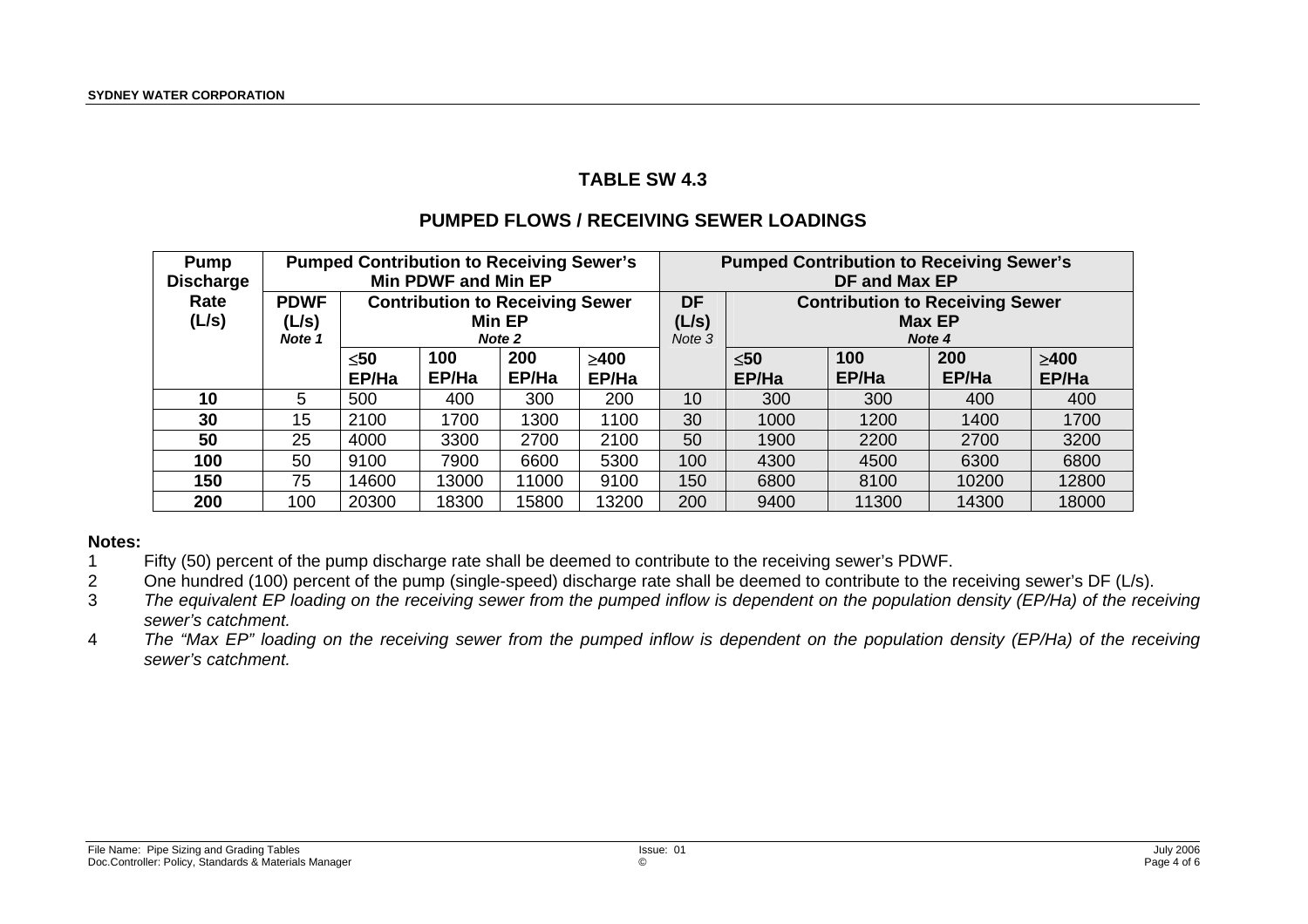#### **PUMPED FLOWS / RECEIVING SEWER LOADINGS**

| <b>Pump</b><br><b>Discharge</b> |                                |                                                            | <b>Pumped Contribution to Receiving Sewer's</b><br><b>Min PDWF and Min EP</b> |              |                     | <b>Pumped Contribution to Receiving Sewer's</b><br>DF and Max EP |                                                                   |              |              |                     |  |
|---------------------------------|--------------------------------|------------------------------------------------------------|-------------------------------------------------------------------------------|--------------|---------------------|------------------------------------------------------------------|-------------------------------------------------------------------|--------------|--------------|---------------------|--|
| Rate<br>(L/s)                   | <b>PDWF</b><br>(L/s)<br>Note 1 | <b>Contribution to Receiving Sewer</b><br>Min EP<br>Note 2 |                                                                               |              |                     | <b>DF</b><br>(L/s)<br>Note 3                                     | <b>Contribution to Receiving Sewer</b><br><b>Max EP</b><br>Note 4 |              |              |                     |  |
|                                 |                                | $\leq 50$<br>EP/Ha                                         | 100<br>EP/Ha                                                                  | 200<br>EP/Ha | $\geq 400$<br>EP/Ha |                                                                  | $\leq 50$<br>EP/Ha                                                | 100<br>EP/Ha | 200<br>EP/Ha | $\geq 400$<br>EP/Ha |  |
| 10                              | 5                              | 500                                                        | 400                                                                           | 300          | 200                 | 10                                                               | 300                                                               | 300          | 400          | 400                 |  |
| 30                              | 15                             | 2100                                                       | 1700                                                                          | 1300         | 1100                | 30                                                               | 1000                                                              | 1200         | 1400         | 1700                |  |
| 50                              | 25                             | 4000                                                       | 3300                                                                          | 2700         | 2100                | 50                                                               | 1900                                                              | 2200         | 2700         | 3200                |  |
| 100                             | 50                             | 9100                                                       | 7900                                                                          | 6600         | 5300                | 100                                                              | 4300                                                              | 4500         | 6300         | 6800                |  |
| 150                             | 75                             | 14600                                                      | 13000                                                                         | 11000        | 9100                | 150                                                              | 6800                                                              | 8100         | 10200        | 12800               |  |
| 200                             | 100                            | 20300                                                      | 18300                                                                         | 15800        | 13200               | 200                                                              | 9400                                                              | 11300        | 14300        | 18000               |  |

#### **Notes:**

- 1 Fifty (50) percent of the pump discharge rate shall be deemed to contribute to the receiving sewer's PDWF.
- 2 One hundred (100) percent of the pump (single-speed) discharge rate shall be deemed to contribute to the receiving sewer's DF (L/s).
- 3 *The equivalent EP loading on the receiving sewer from the pumped inflow is dependent on the population density (EP/Ha) of the receiving sewer's catchment.*
- 4 *The "Max EP" loading on the receiving sewer from the pumped inflow is dependent on the population density (EP/Ha) of the receiving sewer's catchment.*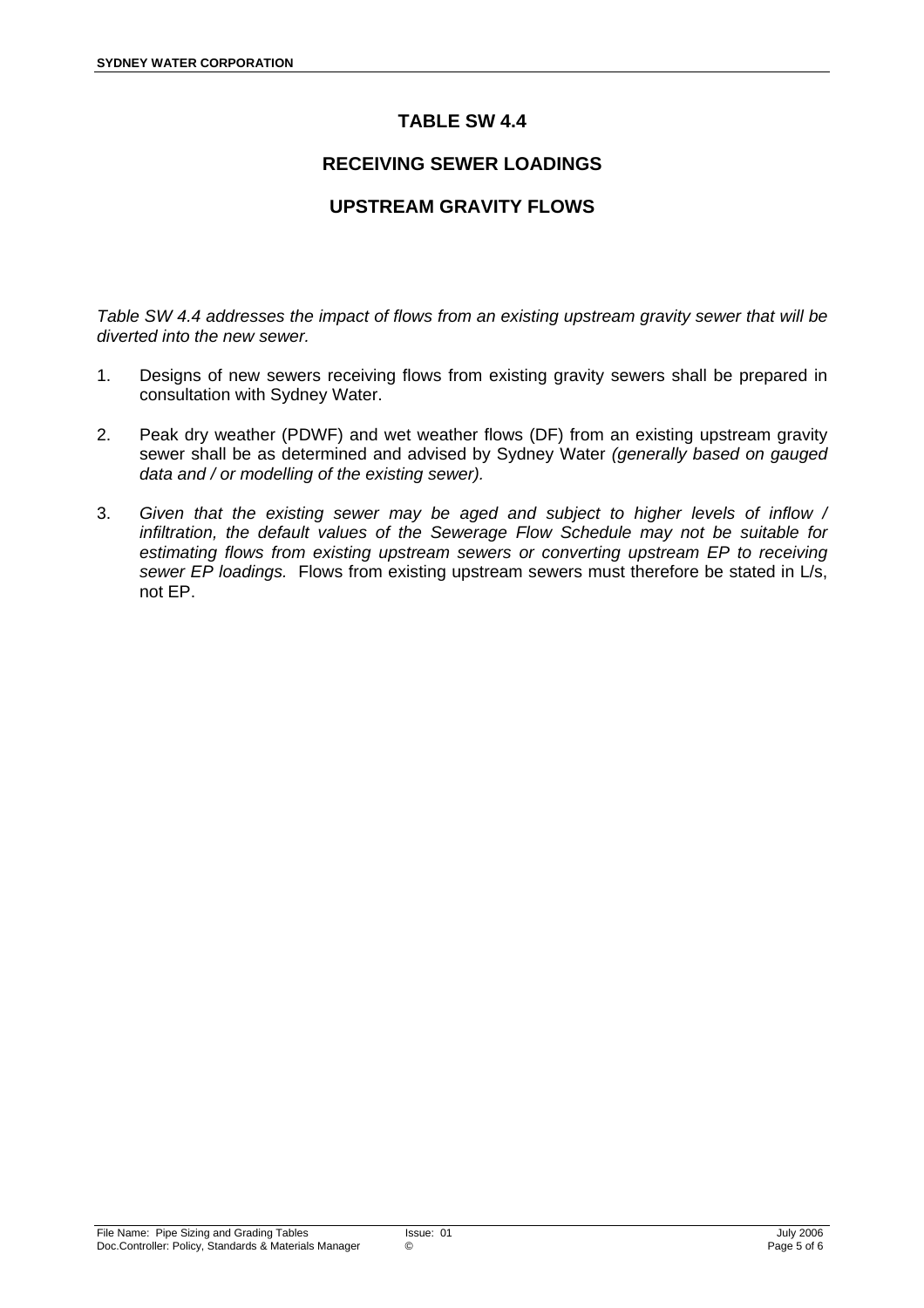#### **RECEIVING SEWER LOADINGS**

#### **UPSTREAM GRAVITY FLOWS**

*Table SW 4.4 addresses the impact of flows from an existing upstream gravity sewer that will be diverted into the new sewer.* 

- 1. Designs of new sewers receiving flows from existing gravity sewers shall be prepared in consultation with Sydney Water.
- 2. Peak dry weather (PDWF) and wet weather flows (DF) from an existing upstream gravity sewer shall be as determined and advised by Sydney Water *(generally based on gauged data and / or modelling of the existing sewer).*
- 3. *Given that the existing sewer may be aged and subject to higher levels of inflow / infiltration, the default values of the Sewerage Flow Schedule may not be suitable for estimating flows from existing upstream sewers or converting upstream EP to receiving sewer EP loadings.* Flows from existing upstream sewers must therefore be stated in L/s, not EP.